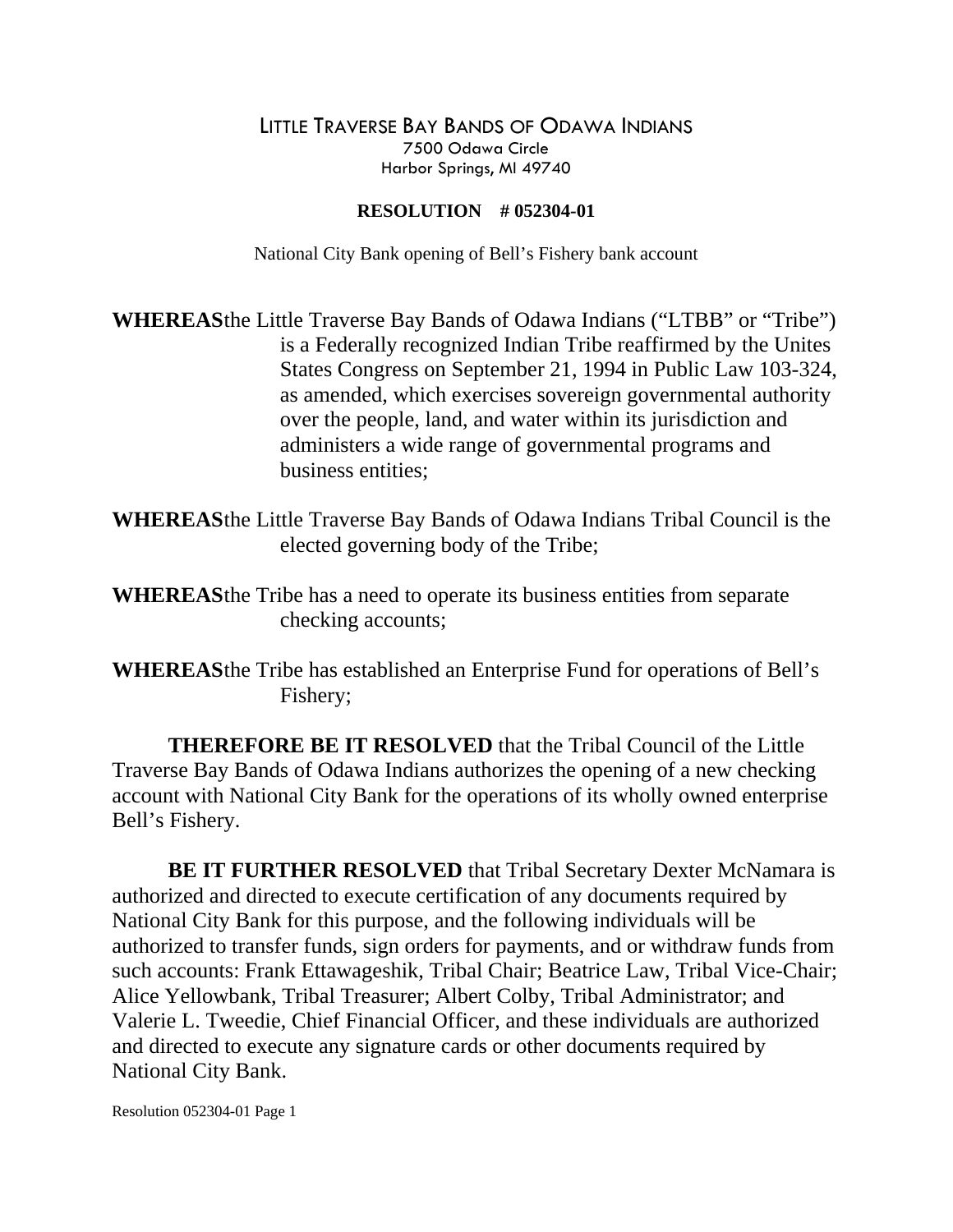## LITTLE TRAVERSE BAY BANDS OF ODAWA INDIANS 7500 Odawa Circle Harbor Springs, MI 49740

## **RESOLUTION # 052304-01**

National City Bank opening of Bell's Fishery bank account

**WHEREAS** the Little Traverse Bay Bands of Odawa Indians ("LTBB" or "Tribe") is a Federally recognized Indian Tribe reaffirmed by the Unites States Congress on September 21, 1994 in Public Law 103-324, as amended, which exercises sovereign governmental authority over the people, land, and water within its jurisdiction and administers a wide range of governmental programs and business entities;

- **WHEREAS** the Little Traverse Bay Bands of Odawa Indians Tribal Council is the elected governing body of the Tribe;
- **WHEREAS** the Tribe has a need to operate its business entities from separate checking accounts;
- **WHEREAS** the Tribe has established an Enterprise Fund for operations of Bell's Fishery;

 **THEREFORE BE IT RESOLVED** that the Tribal Council of the Little Traverse Bay Bands of Odawa Indians authorizes the opening of a new checking account with National City Bank for the operations of its wholly owned enterprise Bell's Fishery.

**BE IT FURTHER RESOLVED** that Tribal Secretary Dexter McNamara is authorized and directed to execute certification of any documents required by National City Bank for this purpose, and the following individuals will be authorized to transfer funds, sign orders for payments, and or withdraw funds from such accounts: Frank Ettawageshik, Tribal Chair; Beatrice Law, Tribal Vice-Chair; Alice Yellowbank, Tribal Treasurer; Albert Colby, Tribal Administrator; and Valerie L. Tweedie, Chief Financial Officer, and these individuals are authorized and directed to execute any signature cards or other documents required by National City Bank.